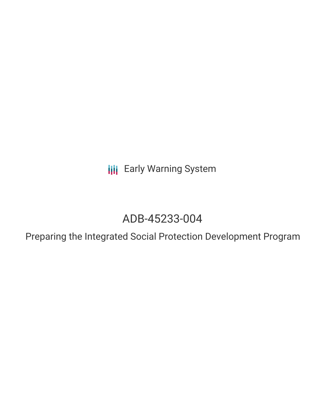**III** Early Warning System

# ADB-45233-004

Preparing the Integrated Social Protection Development Program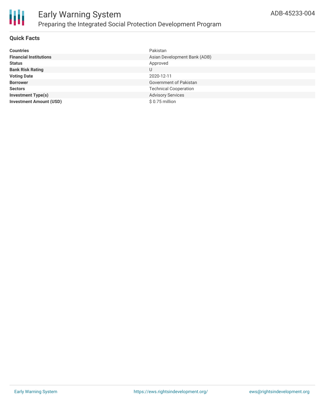

# **Quick Facts**

| <b>Countries</b>               | Pakistan                     |
|--------------------------------|------------------------------|
| <b>Financial Institutions</b>  | Asian Development Bank (ADB) |
| <b>Status</b>                  | Approved                     |
| <b>Bank Risk Rating</b>        | U                            |
| <b>Voting Date</b>             | 2020-12-11                   |
| <b>Borrower</b>                | Government of Pakistan       |
| <b>Sectors</b>                 | <b>Technical Cooperation</b> |
| <b>Investment Type(s)</b>      | <b>Advisory Services</b>     |
| <b>Investment Amount (USD)</b> | \$0.75 million               |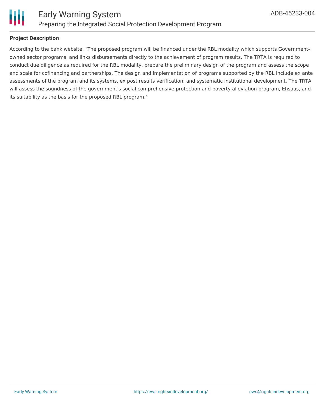

# **Project Description**

According to the bank website, "The proposed program will be financed under the RBL modality which supports Governmentowned sector programs, and links disbursements directly to the achievement of program results. The TRTA is required to conduct due diligence as required for the RBL modality, prepare the preliminary design of the program and assess the scope and scale for cofinancing and partnerships. The design and implementation of programs supported by the RBL include ex ante assessments of the program and its systems, ex post results verification, and systematic institutional development. The TRTA will assess the soundness of the government's social comprehensive protection and poverty alleviation program, Ehsaas, and its suitability as the basis for the proposed RBL program."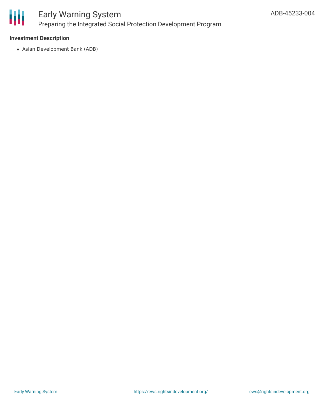

# **Investment Description**

Asian Development Bank (ADB)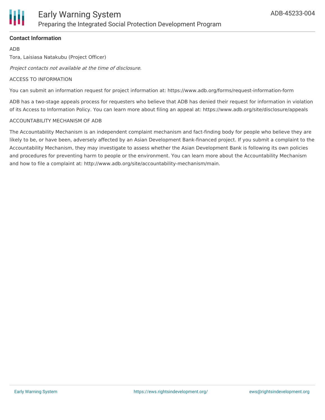

# **Contact Information**

ADB

Tora, Laisiasa Natakubu (Project Officer)

Project contacts not available at the time of disclosure.

#### ACCESS TO INFORMATION

You can submit an information request for project information at: https://www.adb.org/forms/request-information-form

ADB has a two-stage appeals process for requesters who believe that ADB has denied their request for information in violation of its Access to Information Policy. You can learn more about filing an appeal at: https://www.adb.org/site/disclosure/appeals

#### ACCOUNTABILITY MECHANISM OF ADB

The Accountability Mechanism is an independent complaint mechanism and fact-finding body for people who believe they are likely to be, or have been, adversely affected by an Asian Development Bank-financed project. If you submit a complaint to the Accountability Mechanism, they may investigate to assess whether the Asian Development Bank is following its own policies and procedures for preventing harm to people or the environment. You can learn more about the Accountability Mechanism and how to file a complaint at: http://www.adb.org/site/accountability-mechanism/main.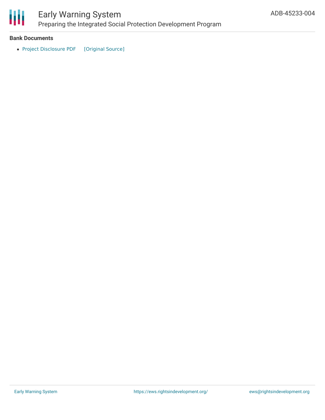

# Early Warning System Preparing the Integrated Social Protection Development Program

### **Bank Documents**

• Project [Disclosure](https://ewsdata.rightsindevelopment.org/files/documents/04/ADB-45233-004.pdf) PDF [\[Original](https://www.adb.org/printpdf/projects/45233-004/main) Source]